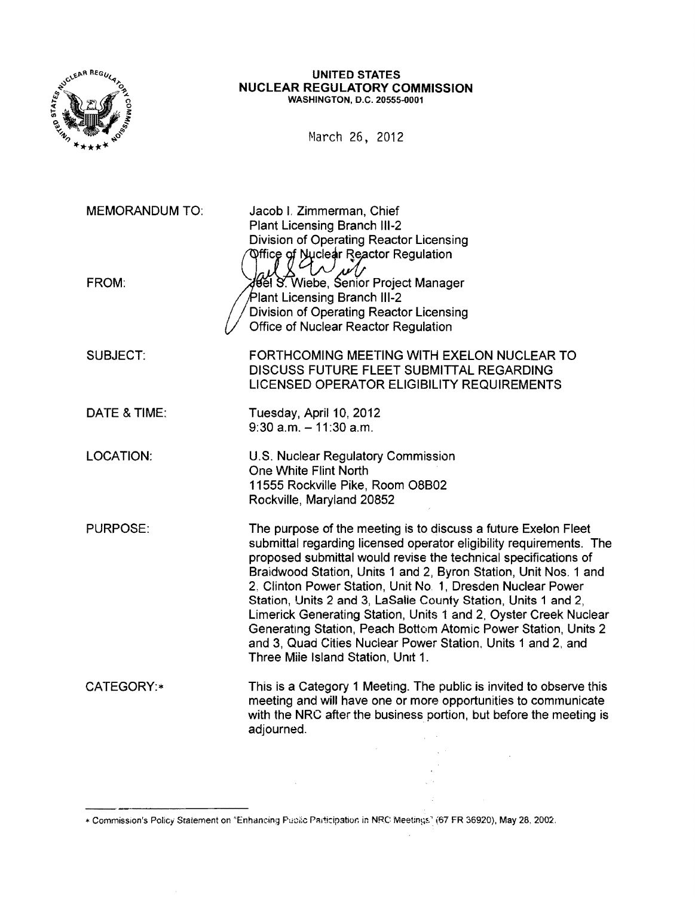

#### UNITED STATES NUCLEAR REGULATORY COMMISSION WASHINGTON, D.C. 20555-0001

March 26, 2012

MEMORANDUM TO: FROM: SUBJECT: DATE & TIME: LOCATION: PURPOSE: CATEGORY:\* Jacob I. Zimmerman, Chief Plant Licensing Branch 111-2 Division of Operating Reactor Licensing Office of Nuclear Reactor Regulation Will Will Will Project Manager lant Licensing Branch 111-2 Division of Operating Reactor licensing Office of Nuclear Reactor Regulation FORTHCOMING MEETING WITH EXELON NUCLEAR TO DISCUSS FUTURE FLEET SUBMITTAL REGARDING LICENSED OPERATOR ELIGIBILITY REQUIREMENTS Tuesday, April 10, 2012  $9:30$  a.m.  $-11:30$  a.m. U.S. Nuclear Regulatory Commission One White Flint North 11555 Rockville Pike, Room 08B02 Rockville, Maryland 20852 The purpose of the meeting is to discuss a future Exelon Fleet submittal regarding licensed operator eligibility requirements. The proposed submittal would revise the technical specifications of Braidwood Station, Units 1 and 2, Byron Station, Unit Nos. 1 and 2. Clinton Power Station, Unit NO.1, Dresden Nuclear Power Station, Units 2 and 3, LaSalie County Station, Units 1 and 2, Limerick Generating Station, Units 1 and 2, Oyster Creek Nuclear Generating Station, Peach Bottom Atomic Power Station, Units 2 and 3, Quad Cities Nuclear Power Station. Units 1 and 2, and Three Mile Island Station, Umt 1. This is a Category 1 Meeting. The public is invited to observe this meeting and will have one or more opportunities to communicate with the NRC after the business portion, but before the meeting is adjourned.

\* Commission's Policy Statement on "Enhancing Public Participation in NRC Meetings" (67 FR 36920), May 28, 2002.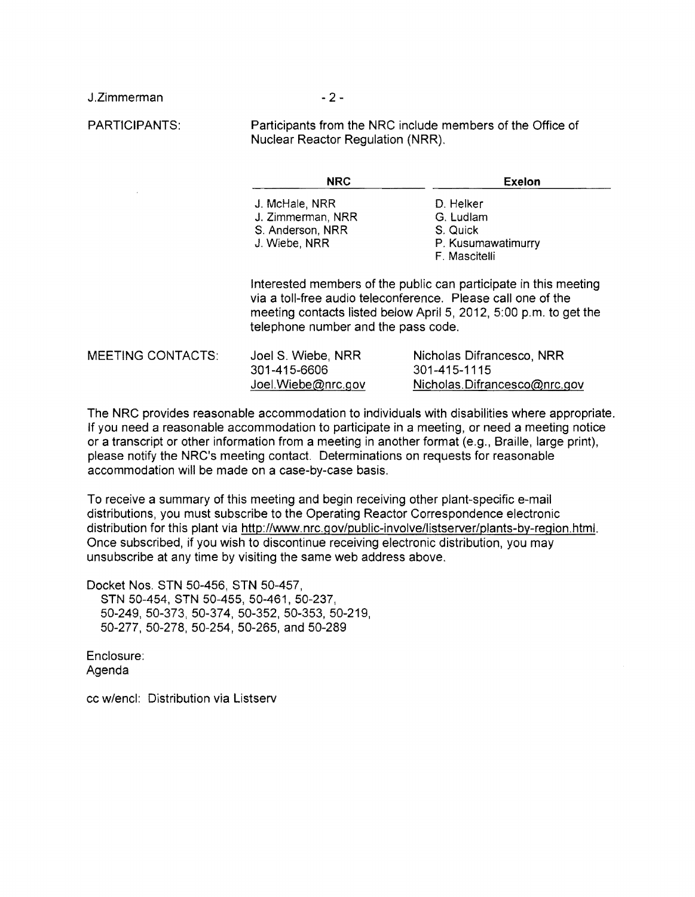J .Zimmerman

 $-2-$ 

PARTICIPANTS:

Participants from the NRC include members of the Office of Nuclear Reactor Regulation (NRR).

| $\sim$ |
|--------|
|        |

Exelon

- J. McHale, NRR D. Helker J. Zimmerman, NRR G. Ludlam S. Anderson, NRR S. Quick<br>
J. Wiebe, NRR S. P. Kusum
	-

P. Kusumawatimurry

F. Mascitelli

Interested members of the public can participate in this meeting via a toll-free audio teleconference. Please call one of the meeting contacts listed below April 5, 2012, 5:00 p.m. to get the telephone number and the pass code.

301-415-6606 301-415-1115

MEETING CONTACTS: Joel S. Wiebe, NRR Nicholas Difrancesco, NRR JoeI.Wiebe@nrc.gov Nicholas. Difrancesco@nrc.gov

The NRC provides reasonable accommodation to individuals with disabilities where appropriate. If you need a reasonable accommodation to participate in a meeting, or need a meeting notice or a transcript or other information from a meeting in another format (e.g., Braille, large print), please notify the NRC's meeting contact. Determinations on requests for reasonable accommodation will be made on a case-by-case basis.

To receive a summary of this meeting and begin receiving other plant-specific e-mail distributions, you must subscribe to the Operating Reactor Correspondence electronic distribution for this plant via http://www.nrc.gov/public-involve/listserver/plants-by-region.html. Once subscribed, if you wish to discontinue receiving electronic distribution, you may unsubscribe at any time by visiting the same web address above.

Docket Nos. STN 50-456, STN 50-457, STN 50-454, STN 50-455, 50-461, 50-237, 50-249,50-373,50-374,50-352,50-353,50-219, 50-277, 50-278, 50-254, 50-265, and 50-289

Enclosure: Agenda

cc w/encl: Distribution via Listserv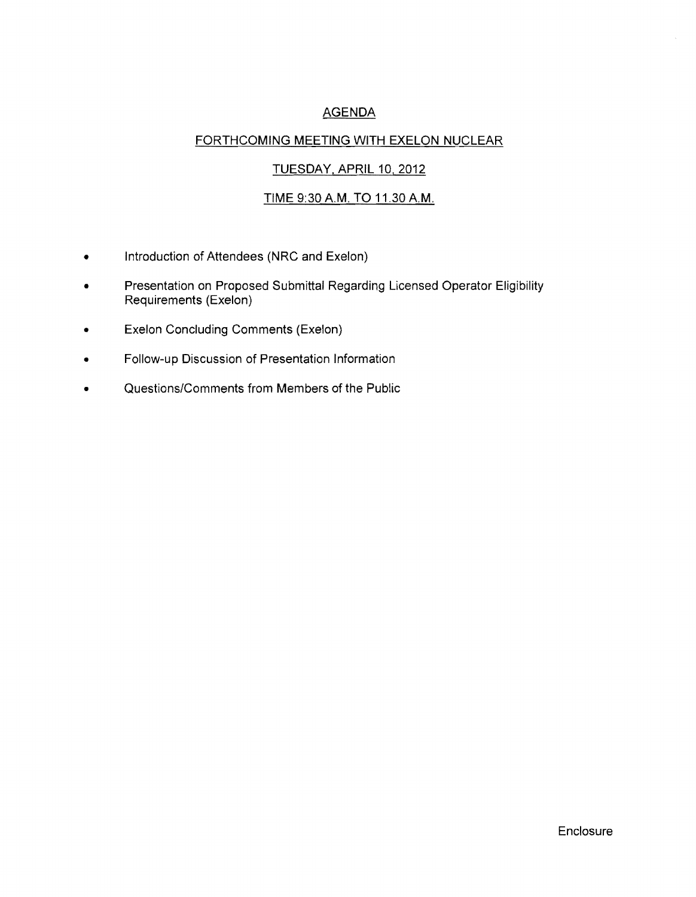# AGENDA

### FORTHCOMING MEETING WITH EXELON NUCLEAR

### TUESDAY, APRIL 10, 2012

# TIME 9:30 A.M. TO 11.30 A.M.

- Introduction of Attendees (NRC and Exelon)
- Presentation on Proposed Submittal Regarding Licensed Operator Eligibility Requirements (Exelon)
- Exelon Concluding Comments (Exelon)
- Follow-up Discussion of Presentation Information
- Questions/Comments from Members of the Public